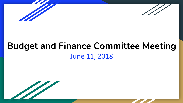



### **Budget and Finance Committee Meeting** June 11, 2018

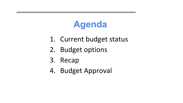# **Agenda**

- 1. Current budget status
- 2. Budget options
- 3. Recap
- 4. Budget Approval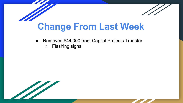

- Removed \$44,000 from Capital Projects Transfer
	- Flashing signs

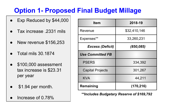### **Option 1- Proposed Final Budget Millage**

- Exp Reduced by \$44,000
- Tax increase .2331 mils
- New revenue \$156,253
- Total mils 30.1874
- \$100,000 assessment tax increase is \$23.31 per year
- \$1.94 per month.
- Increase of  $0.78%$

| <b>Item</b>             | 2018-19      |  |  |  |
|-------------------------|--------------|--|--|--|
| Revenue                 | \$32,410,146 |  |  |  |
| Expenses**              | 33,260,231   |  |  |  |
| <b>Excess (Deficit)</b> | (850, 085)   |  |  |  |
| <b>Use Committed FB</b> |              |  |  |  |
| <b>PSERS</b>            | 334,392      |  |  |  |
| <b>Capital Projects</b> | 301,267      |  |  |  |
| <b>KVA</b>              | 44,211       |  |  |  |
| Remaining               | (170, 216)   |  |  |  |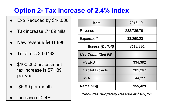#### **Option 2- Tax Increase of 2.4% Index**

- Exp Reduced by \$44,000
- Tax increase .7189 mils
- New revenue \$481,898
- Total mils 30.6732
- \$100,000 assessment tax increase is \$71.89 per year
- \$5.99 per month.
- Increase of  $2.4%$

| <b>Item</b>             | 2018-19      |  |  |  |
|-------------------------|--------------|--|--|--|
| Revenue                 | \$32,735,791 |  |  |  |
| Expenses**              | 33,260,231   |  |  |  |
| <b>Excess (Deficit)</b> | (524, 440)   |  |  |  |
| <b>Use Committed FB</b> |              |  |  |  |
| <b>PSERS</b>            | 334,392      |  |  |  |
| <b>Capital Projects</b> | 301,267      |  |  |  |
| <b>KVA</b>              | 44,211       |  |  |  |
| Remaining               | 155,429      |  |  |  |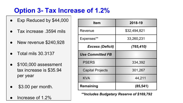#### **Option 3- Tax Increase of 1.2%**

- Exp Reduced by \$44,000
- Tax increase .3594 mils
- New revenue \$240,928
- Total mils 30.3137
- \$100,000 assessment tax increase is \$35.94 per year
- \$3.00 per month.
- Increase of 1.2%

| <b>Item</b>             | 2018-19      |  |  |  |
|-------------------------|--------------|--|--|--|
| Revenue                 | \$32,494,821 |  |  |  |
| Expenses**              | 33,260,231   |  |  |  |
| <b>Excess (Deficit)</b> | (765, 410)   |  |  |  |
| <b>Use Committed FB</b> |              |  |  |  |
| <b>PSERS</b>            | 334,392      |  |  |  |
| <b>Capital Projects</b> | 301,267      |  |  |  |
| <b>KVA</b>              | 44,211       |  |  |  |
| Remaining               | (85, 541)    |  |  |  |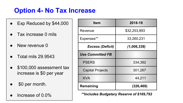#### **Option 4- No Tax Increase**

- Exp Reduced by \$44,000
- Tax increase 0 mils
- New revenue 0
- Total mils 29.9543
- \$100,000 assessment tax increase is \$0 per year
- \$0 per month.
- Increase of  $0.0\%$

| <b>Item</b>             | 2018-19      |  |  |  |
|-------------------------|--------------|--|--|--|
| Revenue                 | \$32,253,893 |  |  |  |
| Expenses**              | 33,260,231   |  |  |  |
| <b>Excess (Deficit)</b> | (1,006,338)  |  |  |  |
| <b>Use Committed FB</b> |              |  |  |  |
| <b>PSERS</b>            | 334,392      |  |  |  |
| <b>Capital Projects</b> | 301,267      |  |  |  |
| KVA                     | 44,211       |  |  |  |
| Remaining               | (326, 469)   |  |  |  |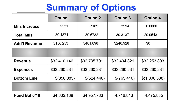## **Summary of Options**

|                      | <b>Option 1</b> | <b>Option 2</b> | <b>Option 3</b> | <b>Option 4</b> |  |
|----------------------|-----------------|-----------------|-----------------|-----------------|--|
| <b>Mils Increase</b> | .2331           | .7189           | .3594           | 0.0000          |  |
| <b>Total Mils</b>    | 30.1874         | 30.6732         | 30.3137         | 29.9543         |  |
| <b>Add'l Revenue</b> | \$156,253       | \$481,898       | \$240,928       | \$0             |  |
|                      |                 |                 |                 |                 |  |
| <b>Revenue</b>       | \$32,410,146    | \$32,735,791    | \$32,494,821    | \$32,253,893    |  |
| <b>Expenses</b>      | \$33,260,231    | \$33,260,231    | \$33,260,231    | \$33,260,231    |  |
| <b>Bottom Line</b>   | \$(850,085)     | \$(524,440)     | \$(765,410)     | \$(1,006,338)   |  |
|                      |                 |                 |                 |                 |  |
| Fund Bal 6/19        | \$4,632,138     | \$4,957,783     | 4,716,813       | 4,475,885       |  |